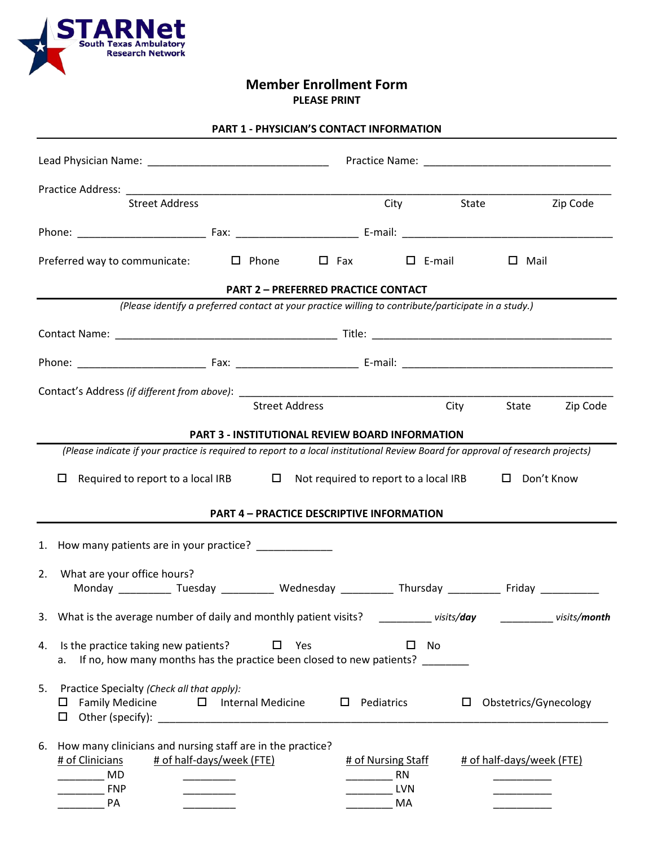

**Member Enrollment Form PLEASE PRINT**

| Practice Address: National Practice                                                                                                                                                        | <u> 1980 - Johann Barn, mars eta bainar eta bainar eta baina eta baina eta baina eta baina eta baina eta baina e</u> |                                              |            |                           |  |
|--------------------------------------------------------------------------------------------------------------------------------------------------------------------------------------------|----------------------------------------------------------------------------------------------------------------------|----------------------------------------------|------------|---------------------------|--|
| <b>Street Address</b>                                                                                                                                                                      |                                                                                                                      |                                              | City State | Zip Code                  |  |
|                                                                                                                                                                                            |                                                                                                                      |                                              |            |                           |  |
| Preferred way to communicate: $\Box$ Phone                                                                                                                                                 |                                                                                                                      | $\square$ Fax $\square$ E-mail               |            | $\square$ Mail            |  |
| <b>PART 2 - PREFERRED PRACTICE CONTACT</b><br>(Please identify a preferred contact at your practice willing to contribute/participate in a study.)                                         |                                                                                                                      |                                              |            |                           |  |
|                                                                                                                                                                                            |                                                                                                                      |                                              |            |                           |  |
|                                                                                                                                                                                            |                                                                                                                      |                                              |            |                           |  |
|                                                                                                                                                                                            |                                                                                                                      |                                              |            |                           |  |
|                                                                                                                                                                                            |                                                                                                                      |                                              |            |                           |  |
|                                                                                                                                                                                            | <b>Street Address</b>                                                                                                |                                              |            | City State<br>Zip Code    |  |
| <b>PART 3 - INSTITUTIONAL REVIEW BOARD INFORMATION</b><br>(Please indicate if your practice is required to report to a local institutional Review Board for approval of research projects) |                                                                                                                      |                                              |            |                           |  |
|                                                                                                                                                                                            |                                                                                                                      |                                              |            |                           |  |
| Required to report to a local IRB $\Box$ Not required to report to a local IRB<br>0                                                                                                        |                                                                                                                      |                                              |            | □ Don't Know              |  |
| <b>PART 4 - PRACTICE DESCRIPTIVE INFORMATION</b>                                                                                                                                           |                                                                                                                      |                                              |            |                           |  |
| 1. How many patients are in your practice? _____________                                                                                                                                   |                                                                                                                      |                                              |            |                           |  |
| What are your office hours?<br>2.<br>Monday _____________ Tuesday _____________ Wednesday ____________ Thursday ____________ Friday ____________                                           |                                                                                                                      |                                              |            |                           |  |
| 3. What is the average number of daily and monthly patient visits? __________ visits/day __________ visits/month                                                                           |                                                                                                                      |                                              |            |                           |  |
| Is the practice taking new patients?<br>4.<br>If no, how many months has the practice been closed to new patients? ______<br>а.                                                            | Yes<br>ப                                                                                                             |                                              | No         |                           |  |
| Practice Specialty (Check all that apply):<br>5.<br><b>Family Medicine</b><br>ப                                                                                                            | $\Box$ Internal Medicine<br>$\Box$                                                                                   | Pediatrics                                   | □          | Obstetrics/Gynecology     |  |
| How many clinicians and nursing staff are in the practice?<br>6.<br># of half-days/week (FTE)<br># of Clinicians<br>MD<br><b>FNP</b><br><b>PA</b>                                          |                                                                                                                      | # of Nursing Staff<br>RN<br><b>LVN</b><br>MA |            | # of half-days/week (FTE) |  |